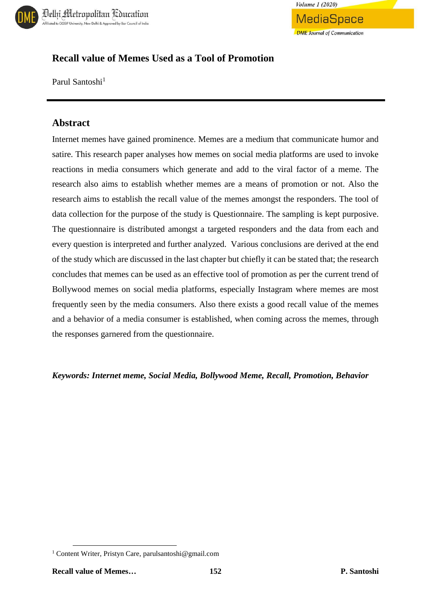



## **Recall value of Memes Used as a Tool of Promotion**

Parul Santoshi<sup>1</sup>

## **Abstract**

Internet memes have gained prominence. Memes are a medium that communicate humor and satire. This research paper analyses how memes on social media platforms are used to invoke reactions in media consumers which generate and add to the viral factor of a meme. The research also aims to establish whether memes are a means of promotion or not. Also the research aims to establish the recall value of the memes amongst the responders. The tool of data collection for the purpose of the study is Questionnaire. The sampling is kept purposive. The questionnaire is distributed amongst a targeted responders and the data from each and every question is interpreted and further analyzed. Various conclusions are derived at the end of the study which are discussed in the last chapter but chiefly it can be stated that; the research concludes that memes can be used as an effective tool of promotion as per the current trend of Bollywood memes on social media platforms, especially Instagram where memes are most frequently seen by the media consumers. Also there exists a good recall value of the memes and a behavior of a media consumer is established, when coming across the memes, through the responses garnered from the questionnaire.

*Keywords: Internet meme, Social Media, Bollywood Meme, Recall, Promotion, Behavior*

 $\overline{\phantom{a}}$ 

<sup>1</sup> Content Writer, Pristyn Care, parulsantoshi@gmail.com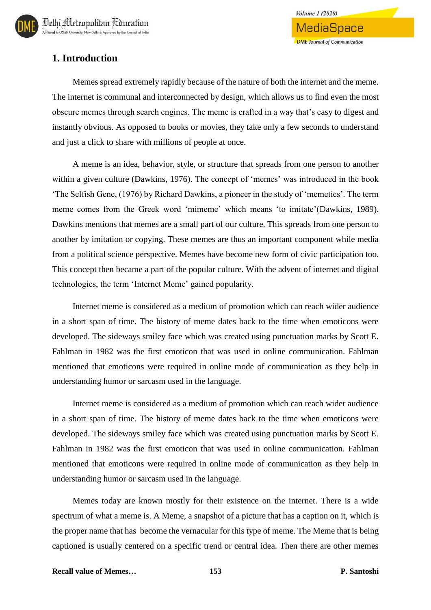# **1. Introduction**

Memes spread extremely rapidly because of the nature of both the internet and the meme. The internet is communal and interconnected by design, which allows us to find even the most obscure memes through search engines. The meme is crafted in a way that's easy to digest and instantly obvious. As opposed to books or movies, they take only a few seconds to understand and just a click to share with millions of people at once.

**Volume 1 (2020)** 

MediaSpace

**DME** Journal of Communication

A meme is an idea, behavior, style, or structure that spreads from one person to another within a given culture (Dawkins, 1976). The concept of 'memes' was introduced in the book 'The Selfish Gene, (1976) by Richard Dawkins, a pioneer in the study of 'memetics'. The term meme comes from the Greek word 'mimeme' which means 'to imitate'(Dawkins, 1989). Dawkins mentions that memes are a small part of our culture. This spreads from one person to another by imitation or copying. These memes are thus an important component while media from a political science perspective. Memes have become new form of civic participation too. This concept then became a part of the popular culture. With the advent of internet and digital technologies, the term 'Internet Meme' gained popularity.

Internet meme is considered as a medium of promotion which can reach wider audience in a short span of time. The history of meme dates back to the time when emoticons were developed. The sideways smiley face which was created using punctuation marks by Scott E. Fahlman in 1982 was the first emoticon that was used in online communication. Fahlman mentioned that emoticons were required in online mode of communication as they help in understanding humor or sarcasm used in the language.

Internet meme is considered as a medium of promotion which can reach wider audience in a short span of time. The history of meme dates back to the time when emoticons were developed. The sideways smiley face which was created using punctuation marks by Scott E. Fahlman in 1982 was the first emoticon that was used in online communication. Fahlman mentioned that emoticons were required in online mode of communication as they help in understanding humor or sarcasm used in the language.

Memes today are known mostly for their existence on the internet. There is a wide spectrum of what a meme is. A Meme, a snapshot of a picture that has a caption on it, which is the proper name that has become the vernacular for this type of meme. The Meme that is being captioned is usually centered on a specific trend or central idea. Then there are other memes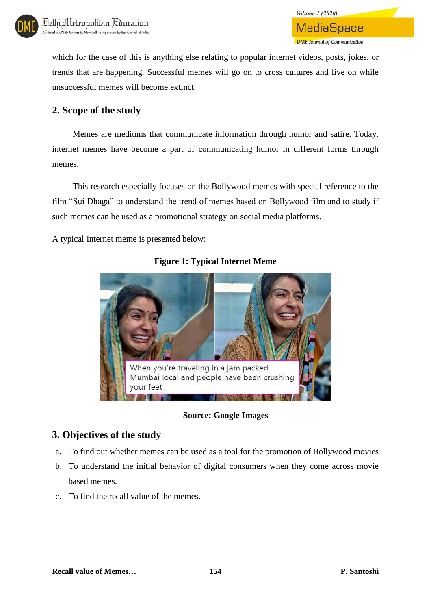which for the case of this is anything else relating to popular internet videos, posts, jokes, or trends that are happening. Successful memes will go on to cross cultures and live on while unsuccessful memes will become extinct.

**Volume 1 (2020)** 

MediaSpace

**DME** Journal of Communication

## **2. Scope of the study**

Memes are mediums that communicate information through humor and satire. Today, internet memes have become a part of communicating humor in different forms through memes.

This research especially focuses on the Bollywood memes with special reference to the film "Sui Dhaga" to understand the trend of memes based on Bollywood film and to study if such memes can be used as a promotional strategy on social media platforms.

A typical Internet meme is presented below:



**Figure 1: Typical Internet Meme**

#### **Source: Google Images**

## **3. Objectives of the study**

- a. To find out whether memes can be used as a tool for the promotion of Bollywood movies
- b. To understand the initial behavior of digital consumers when they come across movie based memes.
- c. To find the recall value of the memes.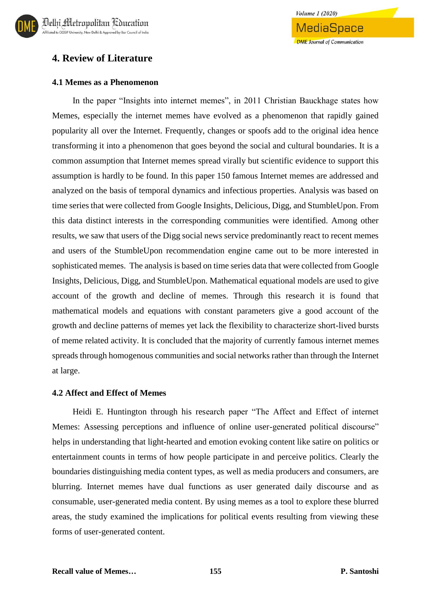

## **4. Review of Literature**

#### **4.1 Memes as a Phenomenon**

In the paper "Insights into internet memes", in 2011 Christian Bauckhage states how Memes, especially the internet memes have evolved as a phenomenon that rapidly gained popularity all over the Internet. Frequently, changes or spoofs add to the original idea hence transforming it into a phenomenon that goes beyond the social and cultural boundaries. It is a common assumption that Internet memes spread virally but scientific evidence to support this assumption is hardly to be found. In this paper 150 famous Internet memes are addressed and analyzed on the basis of temporal dynamics and infectious properties. Analysis was based on time series that were collected from Google Insights, Delicious, Digg, and StumbleUpon. From this data distinct interests in the corresponding communities were identified. Among other results, we saw that users of the Digg social news service predominantly react to recent memes and users of the StumbleUpon recommendation engine came out to be more interested in sophisticated memes. The analysis is based on time series data that were collected from Google Insights, Delicious, Digg, and StumbleUpon. Mathematical equational models are used to give account of the growth and decline of memes. Through this research it is found that mathematical models and equations with constant parameters give a good account of the growth and decline patterns of memes yet lack the flexibility to characterize short-lived bursts of meme related activity. It is concluded that the majority of currently famous internet memes spreads through homogenous communities and social networks rather than through the Internet at large.

#### **4.2 Affect and Effect of Memes**

Heidi E. Huntington through his research paper "The Affect and Effect of internet Memes: Assessing perceptions and influence of online user-generated political discourse" helps in understanding that light-hearted and emotion evoking content like satire on politics or entertainment counts in terms of how people participate in and perceive politics. Clearly the boundaries distinguishing media content types, as well as media producers and consumers, are blurring. Internet memes have dual functions as user generated daily discourse and as consumable, user-generated media content. By using memes as a tool to explore these blurred areas, the study examined the implications for political events resulting from viewing these forms of user-generated content.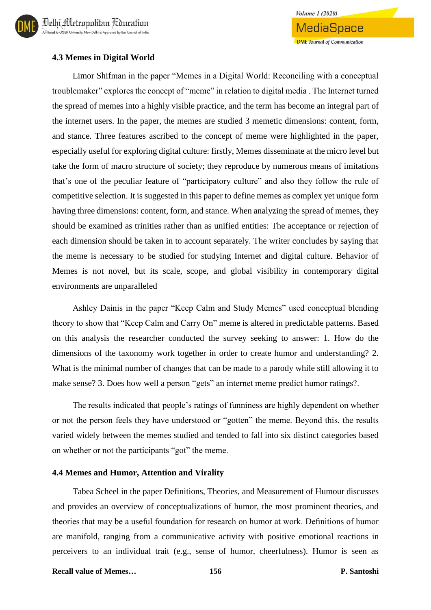#### **4.3 Memes in Digital World**

Limor Shifman in the paper "Memes in a Digital World: Reconciling with a conceptual troublemaker" explores the concept of "meme" in relation to digital media . The Internet turned the spread of memes into a highly visible practice, and the term has become an integral part of the internet users. In the paper, the memes are studied 3 memetic dimensions: content, form, and stance. Three features ascribed to the concept of meme were highlighted in the paper, especially useful for exploring digital culture: firstly, Memes disseminate at the micro level but take the form of macro structure of society; they reproduce by numerous means of imitations that's one of the peculiar feature of "participatory culture" and also they follow the rule of competitive selection. It is suggested in this paper to define memes as complex yet unique form having three dimensions: content, form, and stance. When analyzing the spread of memes, they should be examined as trinities rather than as unified entities: The acceptance or rejection of each dimension should be taken in to account separately. The writer concludes by saying that the meme is necessary to be studied for studying Internet and digital culture. Behavior of Memes is not novel, but its scale, scope, and global visibility in contemporary digital environments are unparalleled

**Volume 1 (2020)** 

MediaSpace

**DME** Journal of Communication

Ashley Dainis in the paper "Keep Calm and Study Memes" used conceptual blending theory to show that "Keep Calm and Carry On" meme is altered in predictable patterns. Based on this analysis the researcher conducted the survey seeking to answer: 1. How do the dimensions of the taxonomy work together in order to create humor and understanding? 2. What is the minimal number of changes that can be made to a parody while still allowing it to make sense? 3. Does how well a person "gets" an internet meme predict humor ratings?.

The results indicated that people's ratings of funniness are highly dependent on whether or not the person feels they have understood or "gotten" the meme. Beyond this, the results varied widely between the memes studied and tended to fall into six distinct categories based on whether or not the participants "got" the meme.

#### **4.4 Memes and Humor, Attention and Virality**

Tabea Scheel in the paper Definitions, Theories, and Measurement of Humour discusses and provides an overview of conceptualizations of humor, the most prominent theories, and theories that may be a useful foundation for research on humor at work. Definitions of humor are manifold, ranging from a communicative activity with positive emotional reactions in perceivers to an individual trait (e.g., sense of humor, cheerfulness). Humor is seen as

**Recall value of Memes… 156 P. Santoshi**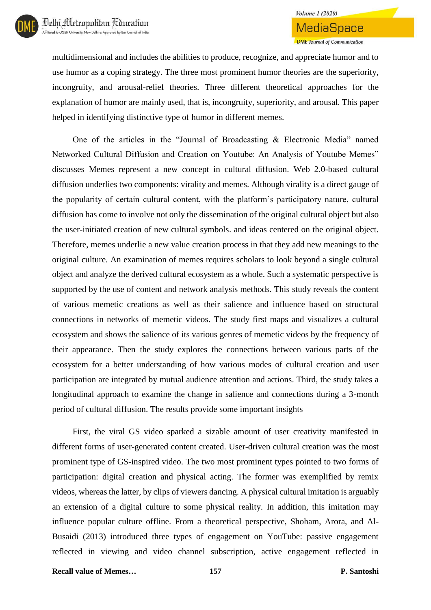

multidimensional and includes the abilities to produce, recognize, and appreciate humor and to use humor as a coping strategy. The three most prominent humor theories are the superiority, incongruity, and arousal-relief theories. Three different theoretical approaches for the explanation of humor are mainly used, that is, incongruity, superiority, and arousal. This paper helped in identifying distinctive type of humor in different memes.

One of the articles in the "Journal of Broadcasting & Electronic Media" named Networked Cultural Diffusion and Creation on Youtube: An Analysis of Youtube Memes" discusses Memes represent a new concept in cultural diffusion. Web 2.0-based cultural diffusion underlies two components: virality and memes. Although virality is a direct gauge of the popularity of certain cultural content, with the platform's participatory nature, cultural diffusion has come to involve not only the dissemination of the original cultural object but also the user-initiated creation of new cultural symbols. and ideas centered on the original object. Therefore, memes underlie a new value creation process in that they add new meanings to the original culture. An examination of memes requires scholars to look beyond a single cultural object and analyze the derived cultural ecosystem as a whole. Such a systematic perspective is supported by the use of content and network analysis methods. This study reveals the content of various memetic creations as well as their salience and influence based on structural connections in networks of memetic videos. The study first maps and visualizes a cultural ecosystem and shows the salience of its various genres of memetic videos by the frequency of their appearance. Then the study explores the connections between various parts of the ecosystem for a better understanding of how various modes of cultural creation and user participation are integrated by mutual audience attention and actions. Third, the study takes a longitudinal approach to examine the change in salience and connections during a 3-month period of cultural diffusion. The results provide some important insights

First, the viral GS video sparked a sizable amount of user creativity manifested in different forms of user-generated content created. User-driven cultural creation was the most prominent type of GS-inspired video. The two most prominent types pointed to two forms of participation: digital creation and physical acting. The former was exemplified by remix videos, whereas the latter, by clips of viewers dancing. A physical cultural imitation is arguably an extension of a digital culture to some physical reality. In addition, this imitation may influence popular culture offline. From a theoretical perspective, Shoham, Arora, and Al-Busaidi (2013) introduced three types of engagement on YouTube: passive engagement reflected in viewing and video channel subscription, active engagement reflected in

**Recall value of Memes… 157 P. Santoshi**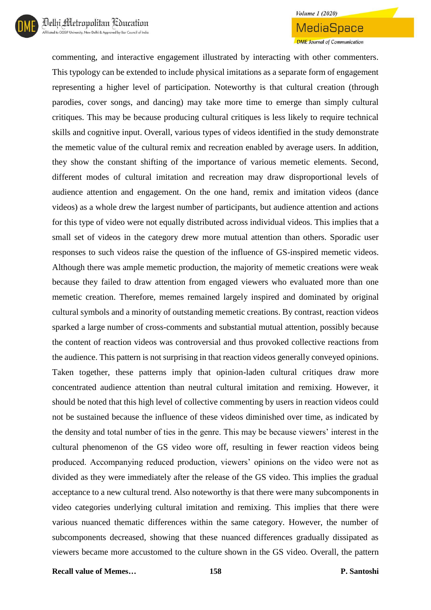

**MediaSpace** 

**DME** Journal of Communication

commenting, and interactive engagement illustrated by interacting with other commenters. This typology can be extended to include physical imitations as a separate form of engagement representing a higher level of participation. Noteworthy is that cultural creation (through parodies, cover songs, and dancing) may take more time to emerge than simply cultural critiques. This may be because producing cultural critiques is less likely to require technical skills and cognitive input. Overall, various types of videos identified in the study demonstrate the memetic value of the cultural remix and recreation enabled by average users. In addition, they show the constant shifting of the importance of various memetic elements. Second, different modes of cultural imitation and recreation may draw disproportional levels of audience attention and engagement. On the one hand, remix and imitation videos (dance videos) as a whole drew the largest number of participants, but audience attention and actions for this type of video were not equally distributed across individual videos. This implies that a small set of videos in the category drew more mutual attention than others. Sporadic user responses to such videos raise the question of the influence of GS-inspired memetic videos. Although there was ample memetic production, the majority of memetic creations were weak because they failed to draw attention from engaged viewers who evaluated more than one memetic creation. Therefore, memes remained largely inspired and dominated by original cultural symbols and a minority of outstanding memetic creations. By contrast, reaction videos sparked a large number of cross-comments and substantial mutual attention, possibly because the content of reaction videos was controversial and thus provoked collective reactions from the audience. This pattern is not surprising in that reaction videos generally conveyed opinions. Taken together, these patterns imply that opinion-laden cultural critiques draw more concentrated audience attention than neutral cultural imitation and remixing. However, it should be noted that this high level of collective commenting by users in reaction videos could not be sustained because the influence of these videos diminished over time, as indicated by the density and total number of ties in the genre. This may be because viewers' interest in the cultural phenomenon of the GS video wore off, resulting in fewer reaction videos being produced. Accompanying reduced production, viewers' opinions on the video were not as divided as they were immediately after the release of the GS video. This implies the gradual acceptance to a new cultural trend. Also noteworthy is that there were many subcomponents in video categories underlying cultural imitation and remixing. This implies that there were various nuanced thematic differences within the same category. However, the number of subcomponents decreased, showing that these nuanced differences gradually dissipated as viewers became more accustomed to the culture shown in the GS video. Overall, the pattern

**Recall value of Memes… 158 P. Santoshi**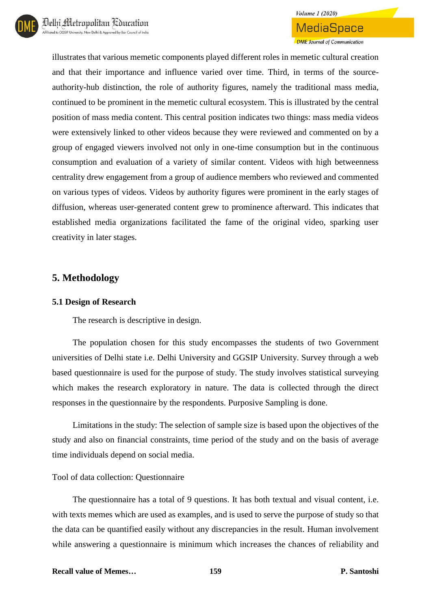**Volume 1 (2020)** 

illustrates that various memetic components played different roles in memetic cultural creation and that their importance and influence varied over time. Third, in terms of the sourceauthority-hub distinction, the role of authority figures, namely the traditional mass media, continued to be prominent in the memetic cultural ecosystem. This is illustrated by the central position of mass media content. This central position indicates two things: mass media videos were extensively linked to other videos because they were reviewed and commented on by a group of engaged viewers involved not only in one-time consumption but in the continuous consumption and evaluation of a variety of similar content. Videos with high betweenness centrality drew engagement from a group of audience members who reviewed and commented on various types of videos. Videos by authority figures were prominent in the early stages of diffusion, whereas user-generated content grew to prominence afterward. This indicates that established media organizations facilitated the fame of the original video, sparking user creativity in later stages.

## **5. Methodology**

#### **5.1 Design of Research**

The research is descriptive in design.

The population chosen for this study encompasses the students of two Government universities of Delhi state i.e. Delhi University and GGSIP University. Survey through a web based questionnaire is used for the purpose of study. The study involves statistical surveying which makes the research exploratory in nature. The data is collected through the direct responses in the questionnaire by the respondents. Purposive Sampling is done.

Limitations in the study: The selection of sample size is based upon the objectives of the study and also on financial constraints, time period of the study and on the basis of average time individuals depend on social media.

Tool of data collection: Questionnaire

The questionnaire has a total of 9 questions. It has both textual and visual content, i.e. with texts memes which are used as examples, and is used to serve the purpose of study so that the data can be quantified easily without any discrepancies in the result. Human involvement while answering a questionnaire is minimum which increases the chances of reliability and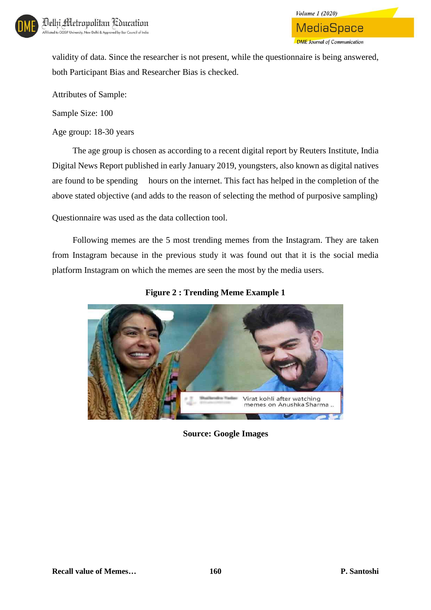

validity of data. Since the researcher is not present, while the questionnaire is being answered, both Participant Bias and Researcher Bias is checked.

Attributes of Sample:

Sample Size: 100

Age group: 18-30 years

The age group is chosen as according to a recent digital report by Reuters Institute, India Digital News Report published in early January 2019, youngsters, also known as digital natives are found to be spending hours on the internet. This fact has helped in the completion of the above stated objective (and adds to the reason of selecting the method of purposive sampling)

Questionnaire was used as the data collection tool.

Following memes are the 5 most trending memes from the Instagram. They are taken from Instagram because in the previous study it was found out that it is the social media platform Instagram on which the memes are seen the most by the media users.

**Figure 2 : Trending Meme Example 1**



**Source: Google Images**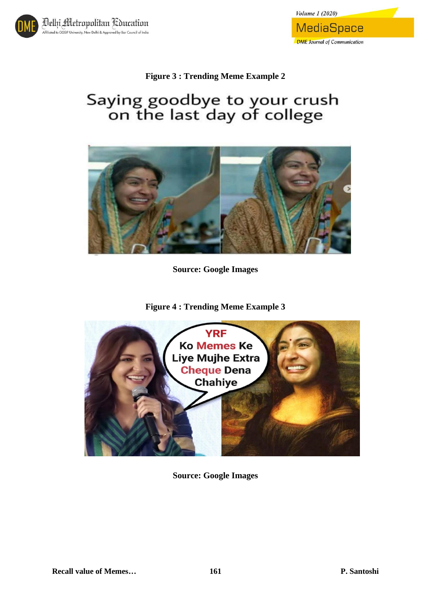

**Volume 1 (2020) MediaSpace DME** Journal of Communication

## **Figure 3 : Trending Meme Example 2**

# Saying goodbye to your crush<br>on the last day of college



**Source: Google Images**

#### **Figure 4 : Trending Meme Example 3**



**Source: Google Images**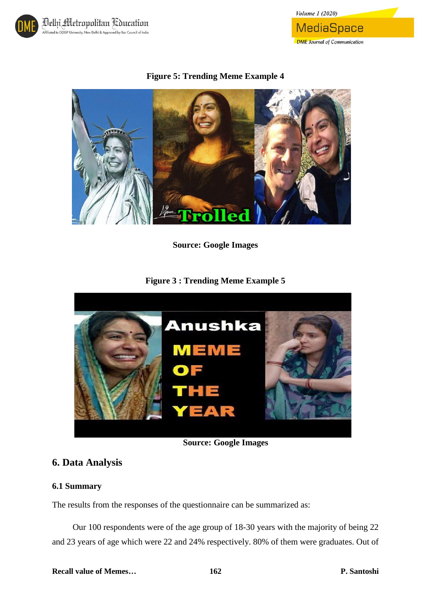

#### **Figure 5: Trending Meme Example 4**

*Volume 1 (2020)* 

**MediaSpace** 

**DME** Journal of Communication



**Source: Google Images**

**Figure 3 : Trending Meme Example 5**



**Source: Google Images**

## **6. Data Analysis**

#### **6.1 Summary**

The results from the responses of the questionnaire can be summarized as:

Our 100 respondents were of the age group of 18-30 years with the majority of being 22 and 23 years of age which were 22 and 24% respectively. 80% of them were graduates. Out of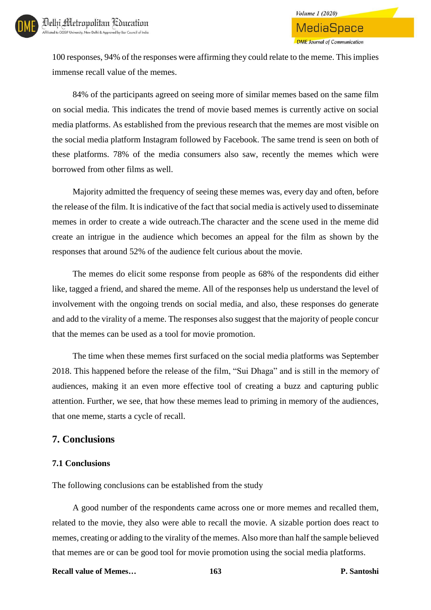100 responses, 94% of the responses were affirming they could relate to the meme. This implies immense recall value of the memes.

84% of the participants agreed on seeing more of similar memes based on the same film on social media. This indicates the trend of movie based memes is currently active on social media platforms. As established from the previous research that the memes are most visible on the social media platform Instagram followed by Facebook. The same trend is seen on both of these platforms. 78% of the media consumers also saw, recently the memes which were borrowed from other films as well.

Majority admitted the frequency of seeing these memes was, every day and often, before the release of the film. It is indicative of the fact that social media is actively used to disseminate memes in order to create a wide outreach.The character and the scene used in the meme did create an intrigue in the audience which becomes an appeal for the film as shown by the responses that around 52% of the audience felt curious about the movie.

The memes do elicit some response from people as 68% of the respondents did either like, tagged a friend, and shared the meme. All of the responses help us understand the level of involvement with the ongoing trends on social media, and also, these responses do generate and add to the virality of a meme. The responses also suggest that the majority of people concur that the memes can be used as a tool for movie promotion.

The time when these memes first surfaced on the social media platforms was September 2018. This happened before the release of the film, "Sui Dhaga" and is still in the memory of audiences, making it an even more effective tool of creating a buzz and capturing public attention. Further, we see, that how these memes lead to priming in memory of the audiences, that one meme, starts a cycle of recall.

## **7. Conclusions**

## **7.1 Conclusions**

The following conclusions can be established from the study

A good number of the respondents came across one or more memes and recalled them, related to the movie, they also were able to recall the movie. A sizable portion does react to memes, creating or adding to the virality of the memes. Also more than half the sample believed that memes are or can be good tool for movie promotion using the social media platforms.

**Recall value of Memes… 163 P. Santoshi**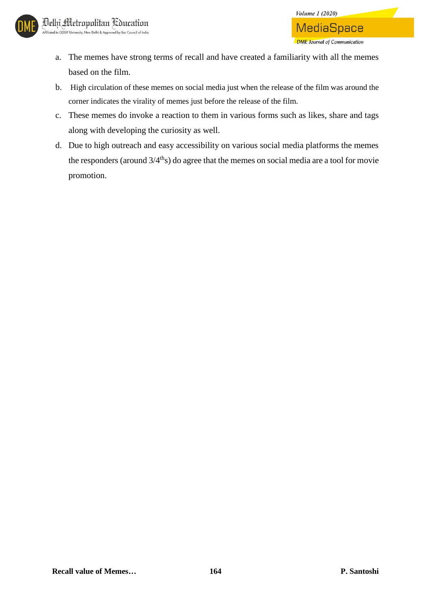

- a. The memes have strong terms of recall and have created a familiarity with all the memes based on the film.
- b. High circulation of these memes on social media just when the release of the film was around the corner indicates the virality of memes just before the release of the film.
- c. These memes do invoke a reaction to them in various forms such as likes, share and tags along with developing the curiosity as well.
- d. Due to high outreach and easy accessibility on various social media platforms the memes the responders (around  $3/4<sup>th</sup>$ s) do agree that the memes on social media are a tool for movie promotion.